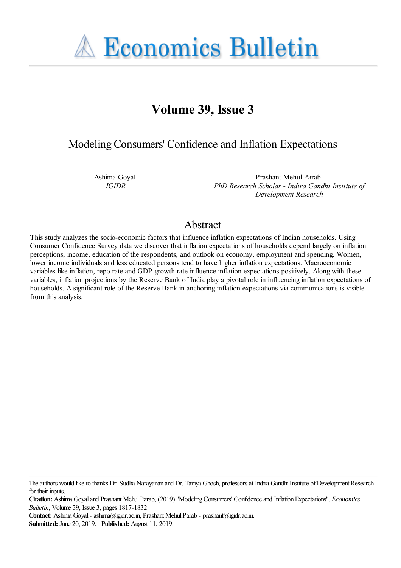**A Economics Bulletin** 

# **Volume 39, Issue 3**

Modeling Consumers' Confidence and Inflation Expectations

Ashima Goyal *IGIDR*

Prashant Mehul Parab *PhD Research Scholar - Indira Gandhi Institute of Development Research*

## Abstract

This study analyzes the socio-economic factors that influence inflation expectations of Indian households. Using Consumer Confidence Survey data we discover that inflation expectations of households depend largely on inflation perceptions, income, education of the respondents, and outlook on economy, employment and spending. Women, lower income individuals and less educated persons tend to have higher inflation expectations. Macroeconomic variables like inflation, repo rate and GDP growth rate influence inflation expectations positively. Along with these variables, inflation projections by the Reserve Bank of India play a pivotal role in influencing inflation expectations of households. A significant role of the Reserve Bank in anchoring inflation expectations via communications is visible from this analysis.

**Contact:** Ashima Goyal - ashima@igidr.ac.in, Prashant Mehul Parab - prashant@igidr.ac.in.

**Submitted:** June 20, 2019. **Published:** August 11, 2019.

The authors would like to thanks Dr. Sudha Narayanan and Dr. Taniya Ghosh, professors at Indira Gandhi Institute of Development Research for their inputs.

**Citation:** Ashima Goyal and Prashant Mehul Parab, (2019) ''Modeling Consumers' Confidence and Inflation Expectations'', *Economics Bulletin*, Volume 39, Issue 3, pages 1817-1832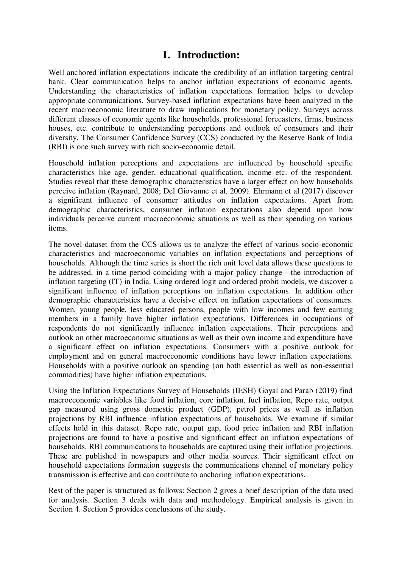### **1. Introduction:**

Well anchored inflation expectations indicate the credibility of an inflation targeting central bank. Clear communication helps to anchor inflation expectations of economic agents. Understanding the characteristics of inflation expectations formation helps to develop appropriate communications. Survey-based inflation expectations have been analyzed in the recent macroeconomic literature to draw implications for monetary policy. Surveys across different classes of economic agents like households, professional forecasters, firms, business houses, etc. contribute to understanding perceptions and outlook of consumers and their diversity. The Consumer Confidence Survey (CCS) conducted by the Reserve Bank of India (RBI) is one such survey with rich socio-economic detail.

Household inflation perceptions and expectations are influenced by household specific characteristics like age, gender, educational qualification, income etc. of the respondent. Studies reveal that these demographic characteristics have a larger effect on how households perceive inflation (Raynard, 2008; Del Giovanne et al, 2009). Ehrmann et al (2017) discover a significant influence of consumer attitudes on inflation expectations. Apart from demographic characteristics, consumer inflation expectations also depend upon how individuals perceive current macroeconomic situations as well as their spending on various items.

The novel dataset from the CCS allows us to analyze the effect of various socio-economic characteristics and macroeconomic variables on inflation expectations and perceptions of households. Although the time series is short the rich unit level data allows these questions to be addressed, in a time period coinciding with a major policy change—the introduction of inflation targeting (IT) in India. Using ordered logit and ordered probit models, we discover a significant influence of inflation perceptions on inflation expectations. In addition other demographic characteristics have a decisive effect on inflation expectations of consumers. Women, young people, less educated persons, people with low incomes and few earning members in a family have higher inflation expectations. Differences in occupations of respondents do not significantly influence inflation expectations. Their perceptions and outlook on other macroeconomic situations as well as their own income and expenditure have a significant effect on inflation expectations. Consumers with a positive outlook for employment and on general macroeconomic conditions have lower inflation expectations. Households with a positive outlook on spending (on both essential as well as non-essential commodities) have higher inflation expectations.

Using the Inflation Expectations Survey of Households (IESH) Goyal and Parab (2019) find macroeconomic variables like food inflation, core inflation, fuel inflation, Repo rate, output gap measured using gross domestic product (GDP), petrol prices as well as inflation projections by RBI influence inflation expectations of households. We examine if similar effects hold in this dataset. Repo rate, output gap, food price inflation and RBI inflation projections are found to have a positive and significant effect on inflation expectations of households. RBI communications to households are captured using their inflation projections. These are published in newspapers and other media sources. Their significant effect on household expectations formation suggests the communications channel of monetary policy transmission is effective and can contribute to anchoring inflation expectations.

Rest of the paper is structured as follows: Section 2 gives a brief description of the data used for analysis. Section 3 deals with data and methodology. Empirical analysis is given in Section 4. Section 5 provides conclusions of the study.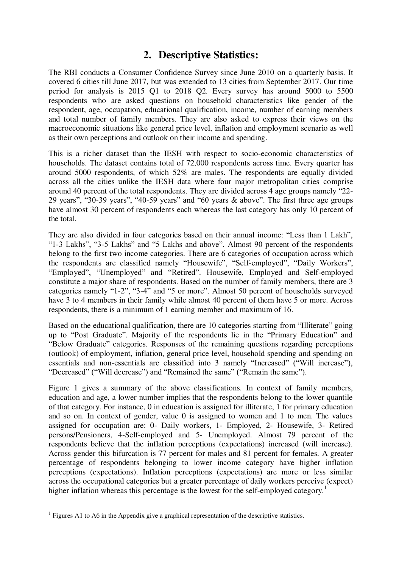## **2. Descriptive Statistics:**

The RBI conducts a Consumer Confidence Survey since June 2010 on a quarterly basis. It covered 6 cities till June 2017, but was extended to 13 cities from September 2017. Our time period for analysis is 2015 Q1 to 2018 Q2. Every survey has around 5000 to 5500 respondents who are asked questions on household characteristics like gender of the respondent, age, occupation, educational qualification, income, number of earning members and total number of family members. They are also asked to express their views on the macroeconomic situations like general price level, inflation and employment scenario as well as their own perceptions and outlook on their income and spending.

This is a richer dataset than the IESH with respect to socio-economic characteristics of households. The dataset contains total of 72,000 respondents across time. Every quarter has around 5000 respondents, of which 52% are males. The respondents are equally divided across all the cities unlike the IESH data where four major metropolitan cities comprise around 40 percent of the total respondents. They are divided across 4 age groups namely "22-29 years", "30-39 years", "40-59 years" and "60 years & above". The first three age groups have almost 30 percent of respondents each whereas the last category has only 10 percent of the total.

They are also divided in four categories based on their annual income: "Less than 1 Lakh", "1-3 Lakhs", "3-5 Lakhs" and "5 Lakhs and above". Almost 90 percent of the respondents belong to the first two income categories. There are 6 categories of occupation across which the respondents are classified namely "Housewife", "Self-employed", "Daily Workers", "Employed", "Unemployed" and "Retired". Housewife, Employed and Self-employed constitute a major share of respondents. Based on the number of family members, there are 3 categories namely "1-2", "3-4" and "5 or more". Almost 50 percent of households surveyed have 3 to 4 members in their family while almost 40 percent of them have 5 or more. Across respondents, there is a minimum of 1 earning member and maximum of 16.

Based on the educational qualification, there are 10 categories starting from "Illiterate" going up to "Post Graduate". Majority of the respondents lie in the "Primary Education" and "Below Graduate" categories. Responses of the remaining questions regarding perceptions (outlook) of employment, inflation, general price level, household spending and spending on essentials and non-essentials are classified into 3 namely "Increased" ("Will increase"), "Decreased" ("Will decrease") and "Remained the same" ("Remain the same").

Figure 1 gives a summary of the above classifications. In context of family members, education and age, a lower number implies that the respondents belong to the lower quantile of that category. For instance, 0 in education is assigned for illiterate, 1 for primary education and so on. In context of gender, value 0 is assigned to women and 1 to men. The values assigned for occupation are: 0- Daily workers, 1- Employed, 2- Housewife, 3- Retired persons/Pensioners, 4-Self-employed and 5- Unemployed. Almost 79 percent of the respondents believe that the inflation perceptions (expectations) increased (will increase). Across gender this bifurcation is 77 percent for males and 81 percent for females. A greater percentage of respondents belonging to lower income category have higher inflation perceptions (expectations). Inflation perceptions (expectations) are more or less similar across the occupational categories but a greater percentage of daily workers perceive (expect) higher inflation whereas this percentage is the lowest for the self-employed category.<sup>1</sup>

<sup>&</sup>lt;sup>1</sup> Figures A1 to A6 in the Appendix give a graphical representation of the descriptive statistics.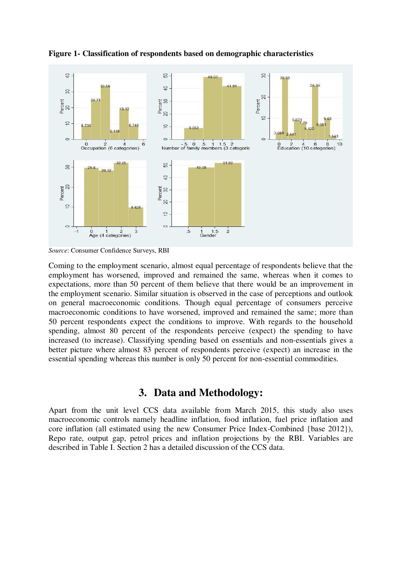

**Figure 1- Classification of respondents based on demographic characteristics** 

*Source*: Consumer Confidence Surveys, RBI

Coming to the employment scenario, almost equal percentage of respondents believe that the employment has worsened, improved and remained the same, whereas when it comes to expectations, more than 50 percent of them believe that there would be an improvement in the employment scenario. Similar situation is observed in the case of perceptions and outlook on general macroeconomic conditions. Though equal percentage of consumers perceive macroeconomic conditions to have worsened, improved and remained the same; more than 50 percent respondents expect the conditions to improve. With regards to the household spending, almost 80 percent of the respondents perceive (expect) the spending to have increased (to increase). Classifying spending based on essentials and non-essentials gives a better picture where almost 83 percent of respondents perceive (expect) an increase in the essential spending whereas this number is only 50 percent for non-essential commodities.

### **3. Data and Methodology:**

Apart from the unit level CCS data available from March 2015, this study also uses macroeconomic controls namely headline inflation, food inflation, fuel price inflation and core inflation (all estimated using the new Consumer Price Index-Combined {base 2012}), Repo rate, output gap, petrol prices and inflation projections by the RBI. Variables are described in Table I. Section 2 has a detailed discussion of the CCS data.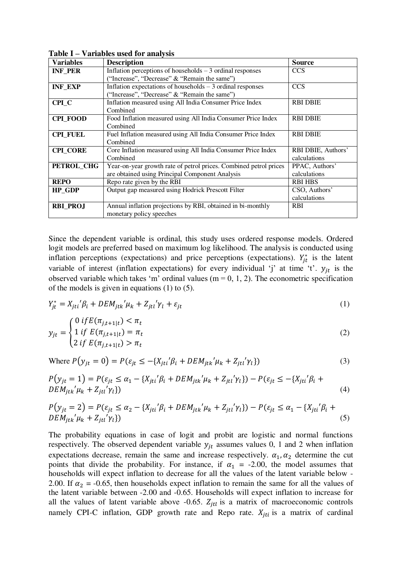| <b>Variables</b> | <b>Description</b>                                                                                                   | <b>Source</b>                      |
|------------------|----------------------------------------------------------------------------------------------------------------------|------------------------------------|
| <b>INF PER</b>   | Inflation perceptions of households $-3$ ordinal responses<br>"Increase", "Decrease" & "Remain the same")            | <b>CCS</b>                         |
| <b>INF_EXP</b>   | Inflation expectations of households $-3$ ordinal responses<br>("Increase", "Decrease" & "Remain the same")          | <b>CCS</b>                         |
| CPI C            | Inflation measured using All India Consumer Price Index<br>Combined                                                  | <b>RBI DBIE</b>                    |
| <b>CPL FOOD</b>  | Food Inflation measured using All India Consumer Price Index<br>Combined                                             | <b>RBI DBIE</b>                    |
| <b>CPI FUEL</b>  | Fuel Inflation measured using All India Consumer Price Index<br>Combined                                             | <b>RBI DBIE</b>                    |
| <b>CPI CORE</b>  | Core Inflation measured using All India Consumer Price Index<br>Combined                                             | RBI DBIE, Authors'<br>calculations |
| PETROL_CHG       | Year-on-year growth rate of petrol prices. Combined petrol prices<br>are obtained using Principal Component Analysis | PPAC, Authors'<br>calculations     |
| <b>REPO</b>      | Reporate given by the RBI                                                                                            | <b>RBI HBS</b>                     |
| <b>HP_GDP</b>    | Output gap measured using Hodrick Prescott Filter                                                                    | CSO, Authors'<br>calculations      |
| <b>RBI PROJ</b>  | Annual inflation projections by RBI, obtained in bi-monthly<br>monetary policy speeches                              | <b>RBI</b>                         |

**Table I – Variables used for analysis** 

Since the dependent variable is ordinal, this study uses ordered response models. Ordered logit models are preferred based on maximum log likelihood. The analysis is conducted using inflation perceptions (expectations) and price perceptions (expectations).  $Y_{it}^*$  is the latent variable of interest (inflation expectations) for every individual 'j' at time 't'.  $y_{it}$  is the observed variable which takes 'm' ordinal values (m = 0, 1, 2). The econometric specification of the models is given in equations (1) to (5).

$$
Y_{jt}^* = X_{jti}'\beta_i + DEM_{jtk}'\mu_k + Z_{jtl}'\gamma_l + \varepsilon_{jt}
$$
\n<sup>(1)</sup>

$$
y_{jt} = \begin{cases} 0 \; if \, E(\pi_{j,t+1|t}) < \pi_t \\ 1 \; if \; E(\pi_{j,t+1|t}) = \pi_t \\ 2 \; if \; E(\pi_{j,t+1|t}) > \pi_t \end{cases} \tag{2}
$$

Where 
$$
P(y_{jt} = 0) = P(\varepsilon_{jt} \le -\{X_{jti} \mid \beta_i + DEM_{jtk} \mid \mu_k + Z_{jtl} \mid \gamma_l\})
$$
\n(3)

$$
P(y_{jt} = 1) = P(\varepsilon_{jt} \le \alpha_1 - \{X_{jti} \nvert \beta_i + DEM_{jtk} \nvert \mu_k + Z_{jti} \nvert \gamma_l\}) - P(\varepsilon_{jt} \le -\{X_{jti} \nvert \beta_i + DEM_{jtk} \nvert \mu_k + Z_{jti} \nvert \gamma_l\})
$$
\n(4)

$$
P(y_{jt} = 2) = P(\varepsilon_{jt} \le \alpha_2 - \{X_{jti} \nvert \beta_i + DEM_{jtk} \nvert \mu_k + Z_{jti} \nvert \gamma_l\}) - P(\varepsilon_{jt} \le \alpha_1 - \{X_{jti} \nvert \beta_i + DEM_{jtk} \nvert \mu_k + Z_{jti} \nvert \gamma_l\})
$$
\n
$$
(5)
$$

The probability equations in case of logit and probit are logistic and normal functions respectively. The observed dependent variable  $y_{it}$  assumes values 0, 1 and 2 when inflation expectations decrease, remain the same and increase respectively.  $\alpha_1, \alpha_2$  determine the cut points that divide the probability. For instance, if  $\alpha_1 = -2.00$ , the model assumes that households will expect inflation to decrease for all the values of the latent variable below - 2.00. If  $\alpha_2 = -0.65$ , then households expect inflation to remain the same for all the values of the latent variable between -2.00 and -0.65. Households will expect inflation to increase for all the values of latent variable above -0.65.  $Z_{it}$  is a matrix of macroeconomic controls namely CPI-C inflation, GDP growth rate and Repo rate.  $X_{iti}$  is a matrix of cardinal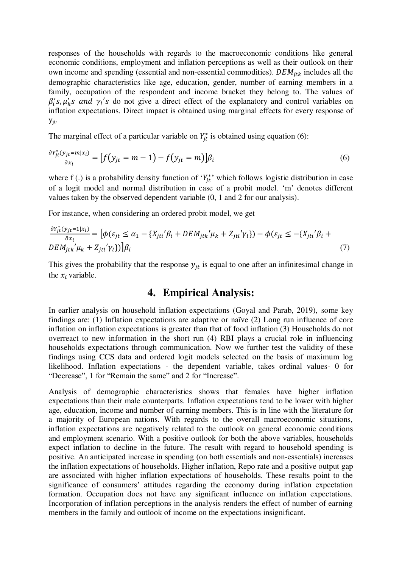responses of the households with regards to the macroeconomic conditions like general economic conditions, employment and inflation perceptions as well as their outlook on their own income and spending (essential and non-essential commodities).  $DEM_{itk}$  includes all the demographic characteristics like age, education, gender, number of earning members in a family, occupation of the respondent and income bracket they belong to. The values of  $\beta'_i$ s,  $\mu'_k$ s and  $\gamma_i$ 's do not give a direct effect of the explanatory and control variables on inflation expectations. Direct impact is obtained using marginal effects for every response of yjt.

The marginal effect of a particular variable on  $Y_{it}^*$  is obtained using equation (6):

$$
\frac{\partial Y_{jt}^*(y_{jt} = m | x_i)}{\partial x_i} = \left[ f(y_{jt} = m - 1) - f(y_{jt} = m) \right] \beta_i \tag{6}
$$

where f(.) is a probability density function of ' $Y_{jt}^*$ ' which follows logistic distribution in case of a logit model and normal distribution in case of a probit model. ‗m' denotes different values taken by the observed dependent variable (0, 1 and 2 for our analysis).

For instance, when considering an ordered probit model, we get

$$
\frac{\partial Y_{jt}^*(y_{jt}=1|x_i)}{\partial x_i} = \left[\phi(\varepsilon_{jt} \le \alpha_1 - \{X_{jti}'\beta_i + DEM_{jtk}'\mu_k + Z_{jti}'\gamma_l\}) - \phi(\varepsilon_{jt} \le -\{X_{jti}'\beta_i + DEM_{jtk}'\mu_k + Z_{jti}'\gamma_l\})\right]\beta_i
$$
\n
$$
(7)
$$

This gives the probability that the response  $y_{it}$  is equal to one after an infinitesimal change in the  $x_i$  variable.

## **4. Empirical Analysis:**

In earlier analysis on household inflation expectations (Goyal and Parab, 2019), some key findings are: (1) Inflation expectations are adaptive or naïve (2) Long run influence of core inflation on inflation expectations is greater than that of food inflation (3) Households do not overreact to new information in the short run (4) RBI plays a crucial role in influencing households expectations through communication. Now we further test the validity of these findings using CCS data and ordered logit models selected on the basis of maximum log likelihood. Inflation expectations - the dependent variable, takes ordinal values- 0 for "Decrease", 1 for "Remain the same" and 2 for "Increase".

Analysis of demographic characteristics shows that females have higher inflation expectations than their male counterparts. Inflation expectations tend to be lower with higher age, education, income and number of earning members. This is in line with the literature for a majority of European nations. With regards to the overall macroeconomic situations, inflation expectations are negatively related to the outlook on general economic conditions and employment scenario. With a positive outlook for both the above variables, households expect inflation to decline in the future. The result with regard to household spending is positive. An anticipated increase in spending (on both essentials and non-essentials) increases the inflation expectations of households. Higher inflation, Repo rate and a positive output gap are associated with higher inflation expectations of households. These results point to the significance of consumers' attitudes regarding the economy during inflation expectation formation. Occupation does not have any significant influence on inflation expectations. Incorporation of inflation perceptions in the analysis renders the effect of number of earning members in the family and outlook of income on the expectations insignificant.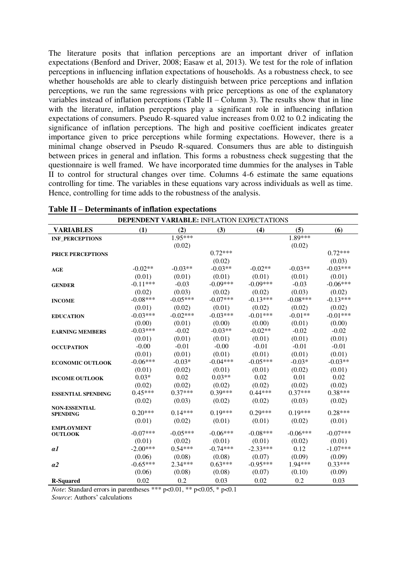The literature posits that inflation perceptions are an important driver of inflation expectations (Benford and Driver, 2008; Easaw et al, 2013). We test for the role of inflation perceptions in influencing inflation expectations of households. As a robustness check, to see whether households are able to clearly distinguish between price perceptions and inflation perceptions, we run the same regressions with price perceptions as one of the explanatory variables instead of inflation perceptions (Table  $II$  – Column 3). The results show that in line with the literature, inflation perceptions play a significant role in influencing inflation expectations of consumers. Pseudo R-squared value increases from 0.02 to 0.2 indicating the significance of inflation perceptions. The high and positive coefficient indicates greater importance given to price perceptions while forming expectations. However, there is a minimal change observed in Pseudo R-squared. Consumers thus are able to distinguish between prices in general and inflation. This forms a robustness check suggesting that the questionnaire is well framed. We have incorporated time dummies for the analyses in Table II to control for structural changes over time. Columns 4-6 estimate the same equations controlling for time. The variables in these equations vary across individuals as well as time. Hence, controlling for time adds to the robustness of the analysis.

|                           | <b>DEPENDENT VARIABLE: INFLATION EXPECTATIONS</b> |            |            |            |            |            |
|---------------------------|---------------------------------------------------|------------|------------|------------|------------|------------|
| <b>VARIABLES</b>          | (1)                                               | (2)        | (3)        | (4)        | (5)        | (6)        |
| <b>INF_PERCEPTIONS</b>    |                                                   | 1.95***    |            |            | $1.89***$  |            |
|                           |                                                   | (0.02)     |            |            | (0.02)     |            |
| <b>PRICE PERCEPTIONS</b>  |                                                   |            | $0.72***$  |            |            | $0.72***$  |
|                           |                                                   |            | (0.02)     |            |            | (0.03)     |
| AGE                       | $-0.02**$                                         | $-0.03**$  | $-0.03**$  | $-0.02**$  | $-0.03**$  | $-0.03***$ |
|                           | (0.01)                                            | (0.01)     | (0.01)     | (0.01)     | (0.01)     | (0.01)     |
| <b>GENDER</b>             | $-0.11***$                                        | $-0.03$    | $-0.09***$ | $-0.09***$ | $-0.03$    | $-0.06***$ |
|                           | (0.02)                                            | (0.03)     | (0.02)     | (0.02)     | (0.03)     | (0.02)     |
| <b>INCOME</b>             | $-0.08***$                                        | $-0.05***$ | $-0.07***$ | $-0.13***$ | $-0.08***$ | $-0.13***$ |
|                           | (0.01)                                            | (0.02)     | (0.01)     | (0.02)     | (0.02)     | (0.02)     |
| <b>EDUCATION</b>          | $-0.03***$                                        | $-0.02***$ | $-0.03***$ | $-0.01***$ | $-0.01**$  | $-0.01***$ |
|                           | (0.00)                                            | (0.01)     | (0.00)     | (0.00)     | (0.01)     | (0.00)     |
| <b>EARNING MEMBERS</b>    | $-0.03***$                                        | $-0.02$    | $-0.03**$  | $-0.02**$  | $-0.02$    | $-0.02$    |
|                           | (0.01)                                            | (0.01)     | (0.01)     | (0.01)     | (0.01)     | (0.01)     |
| <b>OCCUPATION</b>         | $-0.00$                                           | $-0.01$    | $-0.00$    | $-0.01$    | $-0.01$    | $-0.01$    |
|                           | (0.01)                                            | (0.01)     | (0.01)     | (0.01)     | (0.01)     | (0.01)     |
| <b>ECONOMIC OUTLOOK</b>   | $-0.06***$                                        | $-0.03*$   | $-0.04***$ | $-0.05***$ | $-0.03*$   | $-0.03**$  |
|                           | (0.01)                                            | (0.02)     | (0.01)     | (0.01)     | (0.02)     | (0.01)     |
| <b>INCOME OUTLOOK</b>     | $0.03*$                                           | 0.02       | $0.03**$   | 0.02       | 0.01       | 0.02       |
|                           | (0.02)                                            | (0.02)     | (0.02)     | (0.02)     | (0.02)     | (0.02)     |
| <b>ESSENTIAL SPENDING</b> | $0.45***$                                         | $0.37***$  | $0.39***$  | $0.44***$  | $0.37***$  | $0.38***$  |
|                           | (0.02)                                            | (0.03)     | (0.02)     | (0.02)     | (0.03)     | (0.02)     |
| <b>NON-ESSENTIAL</b>      |                                                   |            |            |            |            |            |
| <b>SPENDING</b>           | $0.20***$                                         | $0.14***$  | $0.19***$  | $0.29***$  | $0.19***$  | $0.28***$  |
| <b>EMPLOYMENT</b>         | (0.01)                                            | (0.02)     | (0.01)     | (0.01)     | (0.02)     | (0.01)     |
| <b>OUTLOOK</b>            | $-0.07***$                                        | $-0.05***$ | $-0.06***$ | $-0.08***$ | $-0.06***$ | $-0.07***$ |
|                           | (0.01)                                            | (0.02)     | (0.01)     | (0.01)     | (0.02)     | (0.01)     |
| a1                        | $-2.00***$                                        | $0.54***$  | $-0.74***$ | $-2.33***$ | 0.12       | $-1.07***$ |
|                           | (0.06)                                            | (0.08)     | (0.08)     | (0.07)     | (0.09)     | (0.09)     |
| a2                        | $-0.65***$                                        | 2.34***    | $0.63***$  | $-0.95***$ | 1.94***    | $0.33***$  |
|                           | (0.06)                                            | (0.08)     | (0.08)     | (0.07)     | (0.10)     | (0.09)     |
| <b>R-Squared</b>          | 0.02                                              | 0.2        | 0.03       | 0.02       | 0.2        | 0.03       |

**Table II – Determinants of inflation expectations** 

*Note*: Standard errors in parentheses \*\*\* p<0.01, \*\* p<0.05, \* p<0.1

*Source*: Authors' calculations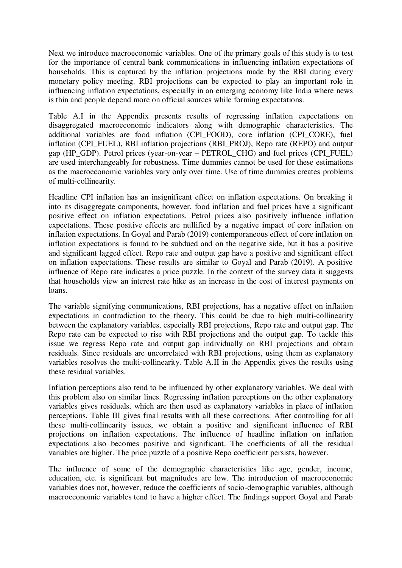Next we introduce macroeconomic variables. One of the primary goals of this study is to test for the importance of central bank communications in influencing inflation expectations of households. This is captured by the inflation projections made by the RBI during every monetary policy meeting. RBI projections can be expected to play an important role in influencing inflation expectations, especially in an emerging economy like India where news is thin and people depend more on official sources while forming expectations.

Table A.I in the Appendix presents results of regressing inflation expectations on disaggregated macroeconomic indicators along with demographic characteristics. The additional variables are food inflation (CPI\_FOOD), core inflation (CPI\_CORE), fuel inflation (CPI\_FUEL), RBI inflation projections (RBI\_PROJ), Repo rate (REPO) and output gap (HP\_GDP). Petrol prices (year-on-year – PETROL\_CHG) and fuel prices (CPI\_FUEL) are used interchangeably for robustness. Time dummies cannot be used for these estimations as the macroeconomic variables vary only over time. Use of time dummies creates problems of multi-collinearity.

Headline CPI inflation has an insignificant effect on inflation expectations. On breaking it into its disaggregate components, however, food inflation and fuel prices have a significant positive effect on inflation expectations. Petrol prices also positively influence inflation expectations. These positive effects are nullified by a negative impact of core inflation on inflation expectations. In Goyal and Parab (2019) contemporaneous effect of core inflation on inflation expectations is found to be subdued and on the negative side, but it has a positive and significant lagged effect. Repo rate and output gap have a positive and significant effect on inflation expectations. These results are similar to Goyal and Parab (2019). A positive influence of Repo rate indicates a price puzzle. In the context of the survey data it suggests that households view an interest rate hike as an increase in the cost of interest payments on loans.

The variable signifying communications, RBI projections, has a negative effect on inflation expectations in contradiction to the theory. This could be due to high multi-collinearity between the explanatory variables, especially RBI projections, Repo rate and output gap. The Repo rate can be expected to rise with RBI projections and the output gap. To tackle this issue we regress Repo rate and output gap individually on RBI projections and obtain residuals. Since residuals are uncorrelated with RBI projections, using them as explanatory variables resolves the multi-collinearity. Table A.II in the Appendix gives the results using these residual variables.

Inflation perceptions also tend to be influenced by other explanatory variables. We deal with this problem also on similar lines. Regressing inflation perceptions on the other explanatory variables gives residuals, which are then used as explanatory variables in place of inflation perceptions. Table III gives final results with all these corrections. After controlling for all these multi-collinearity issues, we obtain a positive and significant influence of RBI projections on inflation expectations. The influence of headline inflation on inflation expectations also becomes positive and significant. The coefficients of all the residual variables are higher. The price puzzle of a positive Repo coefficient persists, however.

The influence of some of the demographic characteristics like age, gender, income, education, etc. is significant but magnitudes are low. The introduction of macroeconomic variables does not, however, reduce the coefficients of socio-demographic variables, although macroeconomic variables tend to have a higher effect. The findings support Goyal and Parab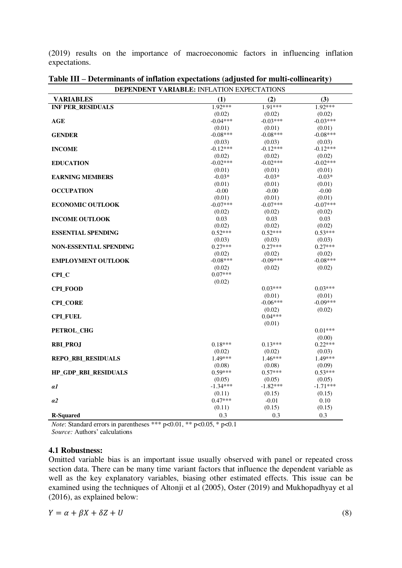(2019) results on the importance of macroeconomic factors in influencing inflation expectations.

| (3)<br><b>VARIABLES</b><br>(1)<br>(2)<br>1.91***<br><b>INF PER_RESIDUALS</b><br>1.92***<br>1.92***<br>(0.02)<br>(0.02)<br>(0.02)<br>$-0.04***$<br>$-0.03***$<br>$-0.03***$<br>AGE<br>(0.01)<br>(0.01)<br>(0.01)<br>$-0.08***$<br><b>GENDER</b><br>$-0.08***$<br>$-0.08***$<br>(0.03)<br>(0.03)<br>(0.03)<br>$-0.12***$<br>$-0.12***$<br><b>INCOME</b><br>$-0.12***$<br>(0.02)<br>(0.02)<br>(0.02)<br>$-0.02***$<br>$-0.02***$<br><b>EDUCATION</b><br>$-0.02***$<br>(0.01)<br>(0.01)<br>(0.01)<br><b>EARNING MEMBERS</b><br>$-0.03*$<br>$-0.03*$<br>$-0.03*$<br>(0.01)<br>(0.01)<br>(0.01)<br><b>OCCUPATION</b><br>$-0.00$<br>$-0.00$<br>$-0.00$<br>(0.01)<br>(0.01)<br>(0.01)<br>$-0.07***$<br>$-0.07***$<br><b>ECONOMIC OUTLOOK</b><br>$-0.07***$<br>(0.02)<br>(0.02)<br>(0.02)<br>0.03<br>0.03<br>0.03<br><b>INCOME OUTLOOK</b><br>(0.02)<br>(0.02)<br>(0.02)<br>$0.52***$<br>$0.52***$<br>$0.53***$<br><b>ESSENTIAL SPENDING</b><br>(0.03)<br>(0.03)<br>(0.03)<br>$0.27***$<br>$0.27***$<br>$0.27***$<br><b>NON-ESSENTIAL SPENDING</b><br>(0.02)<br>(0.02)<br>(0.02)<br><b>EMPLOYMENT OUTLOOK</b><br>$-0.08***$<br>$-0.09***$<br>$-0.08***$<br>(0.02)<br>(0.02)<br>(0.02)<br>$0.07***$<br>CPI_C<br>(0.02)<br>$0.03***$<br>$0.03***$<br><b>CPLFOOD</b><br>(0.01)<br>(0.01)<br>$-0.06***$<br>$-0.09***$<br><b>CPI_CORE</b><br>(0.02)<br>(0.02)<br>$0.04***$<br><b>CPI FUEL</b><br>(0.01)<br>$0.01***$<br>PETROL_CHG<br>(0.00)<br>$0.18***$<br>$0.13***$<br>$0.22***$<br><b>RBI_PROJ</b><br>(0.02)<br>(0.03)<br>(0.02)<br>$1.49***$<br>$1.46***$<br>1.49***<br>REPO_RBI_RESIDUALS<br>(0.08)<br>(0.08)<br>(0.09)<br>$0.59***$<br>$0.53***$<br>HP_GDP_RBI_RESIDUALS<br>$0.57***$<br>(0.05)<br>(0.05)<br>(0.05) | <b>DEPENDENT VARIABLE: INFLATION EXPECTATIONS</b> |            |            |            |  |  |
|--------------------------------------------------------------------------------------------------------------------------------------------------------------------------------------------------------------------------------------------------------------------------------------------------------------------------------------------------------------------------------------------------------------------------------------------------------------------------------------------------------------------------------------------------------------------------------------------------------------------------------------------------------------------------------------------------------------------------------------------------------------------------------------------------------------------------------------------------------------------------------------------------------------------------------------------------------------------------------------------------------------------------------------------------------------------------------------------------------------------------------------------------------------------------------------------------------------------------------------------------------------------------------------------------------------------------------------------------------------------------------------------------------------------------------------------------------------------------------------------------------------------------------------------------------------------------------------------------------------------------------------------------------------------------------------------------------------|---------------------------------------------------|------------|------------|------------|--|--|
|                                                                                                                                                                                                                                                                                                                                                                                                                                                                                                                                                                                                                                                                                                                                                                                                                                                                                                                                                                                                                                                                                                                                                                                                                                                                                                                                                                                                                                                                                                                                                                                                                                                                                                              |                                                   |            |            |            |  |  |
|                                                                                                                                                                                                                                                                                                                                                                                                                                                                                                                                                                                                                                                                                                                                                                                                                                                                                                                                                                                                                                                                                                                                                                                                                                                                                                                                                                                                                                                                                                                                                                                                                                                                                                              |                                                   |            |            |            |  |  |
|                                                                                                                                                                                                                                                                                                                                                                                                                                                                                                                                                                                                                                                                                                                                                                                                                                                                                                                                                                                                                                                                                                                                                                                                                                                                                                                                                                                                                                                                                                                                                                                                                                                                                                              |                                                   |            |            |            |  |  |
|                                                                                                                                                                                                                                                                                                                                                                                                                                                                                                                                                                                                                                                                                                                                                                                                                                                                                                                                                                                                                                                                                                                                                                                                                                                                                                                                                                                                                                                                                                                                                                                                                                                                                                              |                                                   |            |            |            |  |  |
|                                                                                                                                                                                                                                                                                                                                                                                                                                                                                                                                                                                                                                                                                                                                                                                                                                                                                                                                                                                                                                                                                                                                                                                                                                                                                                                                                                                                                                                                                                                                                                                                                                                                                                              |                                                   |            |            |            |  |  |
|                                                                                                                                                                                                                                                                                                                                                                                                                                                                                                                                                                                                                                                                                                                                                                                                                                                                                                                                                                                                                                                                                                                                                                                                                                                                                                                                                                                                                                                                                                                                                                                                                                                                                                              |                                                   |            |            |            |  |  |
|                                                                                                                                                                                                                                                                                                                                                                                                                                                                                                                                                                                                                                                                                                                                                                                                                                                                                                                                                                                                                                                                                                                                                                                                                                                                                                                                                                                                                                                                                                                                                                                                                                                                                                              |                                                   |            |            |            |  |  |
|                                                                                                                                                                                                                                                                                                                                                                                                                                                                                                                                                                                                                                                                                                                                                                                                                                                                                                                                                                                                                                                                                                                                                                                                                                                                                                                                                                                                                                                                                                                                                                                                                                                                                                              |                                                   |            |            |            |  |  |
|                                                                                                                                                                                                                                                                                                                                                                                                                                                                                                                                                                                                                                                                                                                                                                                                                                                                                                                                                                                                                                                                                                                                                                                                                                                                                                                                                                                                                                                                                                                                                                                                                                                                                                              |                                                   |            |            |            |  |  |
|                                                                                                                                                                                                                                                                                                                                                                                                                                                                                                                                                                                                                                                                                                                                                                                                                                                                                                                                                                                                                                                                                                                                                                                                                                                                                                                                                                                                                                                                                                                                                                                                                                                                                                              |                                                   |            |            |            |  |  |
|                                                                                                                                                                                                                                                                                                                                                                                                                                                                                                                                                                                                                                                                                                                                                                                                                                                                                                                                                                                                                                                                                                                                                                                                                                                                                                                                                                                                                                                                                                                                                                                                                                                                                                              |                                                   |            |            |            |  |  |
|                                                                                                                                                                                                                                                                                                                                                                                                                                                                                                                                                                                                                                                                                                                                                                                                                                                                                                                                                                                                                                                                                                                                                                                                                                                                                                                                                                                                                                                                                                                                                                                                                                                                                                              |                                                   |            |            |            |  |  |
|                                                                                                                                                                                                                                                                                                                                                                                                                                                                                                                                                                                                                                                                                                                                                                                                                                                                                                                                                                                                                                                                                                                                                                                                                                                                                                                                                                                                                                                                                                                                                                                                                                                                                                              |                                                   |            |            |            |  |  |
|                                                                                                                                                                                                                                                                                                                                                                                                                                                                                                                                                                                                                                                                                                                                                                                                                                                                                                                                                                                                                                                                                                                                                                                                                                                                                                                                                                                                                                                                                                                                                                                                                                                                                                              |                                                   |            |            |            |  |  |
|                                                                                                                                                                                                                                                                                                                                                                                                                                                                                                                                                                                                                                                                                                                                                                                                                                                                                                                                                                                                                                                                                                                                                                                                                                                                                                                                                                                                                                                                                                                                                                                                                                                                                                              |                                                   |            |            |            |  |  |
|                                                                                                                                                                                                                                                                                                                                                                                                                                                                                                                                                                                                                                                                                                                                                                                                                                                                                                                                                                                                                                                                                                                                                                                                                                                                                                                                                                                                                                                                                                                                                                                                                                                                                                              |                                                   |            |            |            |  |  |
|                                                                                                                                                                                                                                                                                                                                                                                                                                                                                                                                                                                                                                                                                                                                                                                                                                                                                                                                                                                                                                                                                                                                                                                                                                                                                                                                                                                                                                                                                                                                                                                                                                                                                                              |                                                   |            |            |            |  |  |
|                                                                                                                                                                                                                                                                                                                                                                                                                                                                                                                                                                                                                                                                                                                                                                                                                                                                                                                                                                                                                                                                                                                                                                                                                                                                                                                                                                                                                                                                                                                                                                                                                                                                                                              |                                                   |            |            |            |  |  |
|                                                                                                                                                                                                                                                                                                                                                                                                                                                                                                                                                                                                                                                                                                                                                                                                                                                                                                                                                                                                                                                                                                                                                                                                                                                                                                                                                                                                                                                                                                                                                                                                                                                                                                              |                                                   |            |            |            |  |  |
|                                                                                                                                                                                                                                                                                                                                                                                                                                                                                                                                                                                                                                                                                                                                                                                                                                                                                                                                                                                                                                                                                                                                                                                                                                                                                                                                                                                                                                                                                                                                                                                                                                                                                                              |                                                   |            |            |            |  |  |
|                                                                                                                                                                                                                                                                                                                                                                                                                                                                                                                                                                                                                                                                                                                                                                                                                                                                                                                                                                                                                                                                                                                                                                                                                                                                                                                                                                                                                                                                                                                                                                                                                                                                                                              |                                                   |            |            |            |  |  |
|                                                                                                                                                                                                                                                                                                                                                                                                                                                                                                                                                                                                                                                                                                                                                                                                                                                                                                                                                                                                                                                                                                                                                                                                                                                                                                                                                                                                                                                                                                                                                                                                                                                                                                              |                                                   |            |            |            |  |  |
|                                                                                                                                                                                                                                                                                                                                                                                                                                                                                                                                                                                                                                                                                                                                                                                                                                                                                                                                                                                                                                                                                                                                                                                                                                                                                                                                                                                                                                                                                                                                                                                                                                                                                                              |                                                   |            |            |            |  |  |
|                                                                                                                                                                                                                                                                                                                                                                                                                                                                                                                                                                                                                                                                                                                                                                                                                                                                                                                                                                                                                                                                                                                                                                                                                                                                                                                                                                                                                                                                                                                                                                                                                                                                                                              |                                                   |            |            |            |  |  |
|                                                                                                                                                                                                                                                                                                                                                                                                                                                                                                                                                                                                                                                                                                                                                                                                                                                                                                                                                                                                                                                                                                                                                                                                                                                                                                                                                                                                                                                                                                                                                                                                                                                                                                              |                                                   |            |            |            |  |  |
|                                                                                                                                                                                                                                                                                                                                                                                                                                                                                                                                                                                                                                                                                                                                                                                                                                                                                                                                                                                                                                                                                                                                                                                                                                                                                                                                                                                                                                                                                                                                                                                                                                                                                                              |                                                   |            |            |            |  |  |
|                                                                                                                                                                                                                                                                                                                                                                                                                                                                                                                                                                                                                                                                                                                                                                                                                                                                                                                                                                                                                                                                                                                                                                                                                                                                                                                                                                                                                                                                                                                                                                                                                                                                                                              |                                                   |            |            |            |  |  |
|                                                                                                                                                                                                                                                                                                                                                                                                                                                                                                                                                                                                                                                                                                                                                                                                                                                                                                                                                                                                                                                                                                                                                                                                                                                                                                                                                                                                                                                                                                                                                                                                                                                                                                              |                                                   |            |            |            |  |  |
|                                                                                                                                                                                                                                                                                                                                                                                                                                                                                                                                                                                                                                                                                                                                                                                                                                                                                                                                                                                                                                                                                                                                                                                                                                                                                                                                                                                                                                                                                                                                                                                                                                                                                                              |                                                   |            |            |            |  |  |
|                                                                                                                                                                                                                                                                                                                                                                                                                                                                                                                                                                                                                                                                                                                                                                                                                                                                                                                                                                                                                                                                                                                                                                                                                                                                                                                                                                                                                                                                                                                                                                                                                                                                                                              |                                                   |            |            |            |  |  |
|                                                                                                                                                                                                                                                                                                                                                                                                                                                                                                                                                                                                                                                                                                                                                                                                                                                                                                                                                                                                                                                                                                                                                                                                                                                                                                                                                                                                                                                                                                                                                                                                                                                                                                              |                                                   |            |            |            |  |  |
|                                                                                                                                                                                                                                                                                                                                                                                                                                                                                                                                                                                                                                                                                                                                                                                                                                                                                                                                                                                                                                                                                                                                                                                                                                                                                                                                                                                                                                                                                                                                                                                                                                                                                                              |                                                   |            |            |            |  |  |
|                                                                                                                                                                                                                                                                                                                                                                                                                                                                                                                                                                                                                                                                                                                                                                                                                                                                                                                                                                                                                                                                                                                                                                                                                                                                                                                                                                                                                                                                                                                                                                                                                                                                                                              |                                                   |            |            |            |  |  |
|                                                                                                                                                                                                                                                                                                                                                                                                                                                                                                                                                                                                                                                                                                                                                                                                                                                                                                                                                                                                                                                                                                                                                                                                                                                                                                                                                                                                                                                                                                                                                                                                                                                                                                              |                                                   |            |            |            |  |  |
|                                                                                                                                                                                                                                                                                                                                                                                                                                                                                                                                                                                                                                                                                                                                                                                                                                                                                                                                                                                                                                                                                                                                                                                                                                                                                                                                                                                                                                                                                                                                                                                                                                                                                                              |                                                   |            |            |            |  |  |
|                                                                                                                                                                                                                                                                                                                                                                                                                                                                                                                                                                                                                                                                                                                                                                                                                                                                                                                                                                                                                                                                                                                                                                                                                                                                                                                                                                                                                                                                                                                                                                                                                                                                                                              |                                                   |            |            |            |  |  |
|                                                                                                                                                                                                                                                                                                                                                                                                                                                                                                                                                                                                                                                                                                                                                                                                                                                                                                                                                                                                                                                                                                                                                                                                                                                                                                                                                                                                                                                                                                                                                                                                                                                                                                              |                                                   |            |            |            |  |  |
|                                                                                                                                                                                                                                                                                                                                                                                                                                                                                                                                                                                                                                                                                                                                                                                                                                                                                                                                                                                                                                                                                                                                                                                                                                                                                                                                                                                                                                                                                                                                                                                                                                                                                                              |                                                   |            |            |            |  |  |
|                                                                                                                                                                                                                                                                                                                                                                                                                                                                                                                                                                                                                                                                                                                                                                                                                                                                                                                                                                                                                                                                                                                                                                                                                                                                                                                                                                                                                                                                                                                                                                                                                                                                                                              |                                                   |            |            |            |  |  |
|                                                                                                                                                                                                                                                                                                                                                                                                                                                                                                                                                                                                                                                                                                                                                                                                                                                                                                                                                                                                                                                                                                                                                                                                                                                                                                                                                                                                                                                                                                                                                                                                                                                                                                              |                                                   |            |            |            |  |  |
|                                                                                                                                                                                                                                                                                                                                                                                                                                                                                                                                                                                                                                                                                                                                                                                                                                                                                                                                                                                                                                                                                                                                                                                                                                                                                                                                                                                                                                                                                                                                                                                                                                                                                                              | αl                                                | $-1.34***$ | $-1.82***$ | $-1.71***$ |  |  |
| (0.11)<br>(0.15)<br>(0.15)                                                                                                                                                                                                                                                                                                                                                                                                                                                                                                                                                                                                                                                                                                                                                                                                                                                                                                                                                                                                                                                                                                                                                                                                                                                                                                                                                                                                                                                                                                                                                                                                                                                                                   |                                                   |            |            |            |  |  |
| $0.47***$<br>$-0.01$<br>0.10<br>a2                                                                                                                                                                                                                                                                                                                                                                                                                                                                                                                                                                                                                                                                                                                                                                                                                                                                                                                                                                                                                                                                                                                                                                                                                                                                                                                                                                                                                                                                                                                                                                                                                                                                           |                                                   |            |            |            |  |  |
| (0.15)<br>(0.11)<br>(0.15)                                                                                                                                                                                                                                                                                                                                                                                                                                                                                                                                                                                                                                                                                                                                                                                                                                                                                                                                                                                                                                                                                                                                                                                                                                                                                                                                                                                                                                                                                                                                                                                                                                                                                   |                                                   |            |            |            |  |  |
| 0.3<br>0.3<br>0.3<br><b>R-Squared</b>                                                                                                                                                                                                                                                                                                                                                                                                                                                                                                                                                                                                                                                                                                                                                                                                                                                                                                                                                                                                                                                                                                                                                                                                                                                                                                                                                                                                                                                                                                                                                                                                                                                                        |                                                   |            |            |            |  |  |

**Table III – Determinants of inflation expectations (adjusted for multi-collinearity)** 

*Note*: Standard errors in parentheses \*\*\* p<0.01, \*\* p<0.05, \* p<0.1

*Source:* Authors' calculations

#### **4.1 Robustness:**

Omitted variable bias is an important issue usually observed with panel or repeated cross section data. There can be many time variant factors that influence the dependent variable as well as the key explanatory variables, biasing other estimated effects. This issue can be examined using the techniques of Altonji et al (2005), Oster (2019) and Mukhopadhyay et al (2016), as explained below:

$$
Y = \alpha + \beta X + \delta Z + U \tag{8}
$$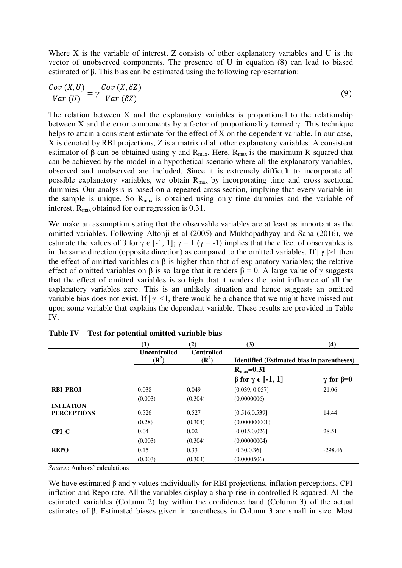Where X is the variable of interest, Z consists of other explanatory variables and U is the vector of unobserved components. The presence of U in equation (8) can lead to biased estimated of B. This bias can be estimated using the following representation:

$$
\frac{Cov(X,U)}{Var(U)} = \gamma \frac{Cov(X,\delta Z)}{Var(\delta Z)}
$$
(9)

The relation between X and the explanatory variables is proportional to the relationship between X and the error components by a factor of proportionality termed  $\gamma$ . This technique helps to attain a consistent estimate for the effect of X on the dependent variable. In our case, X is denoted by RBI projections, Z is a matrix of all other explanatory variables. A consistent estimator of  $\beta$  can be obtained using  $\gamma$  and R<sub>max</sub>. Here, R<sub>max</sub> is the maximum R-squared that can be achieved by the model in a hypothetical scenario where all the explanatory variables, observed and unobserved are included. Since it is extremely difficult to incorporate all possible explanatory variables, we obtain  $R_{\text{max}}$  by incorporating time and cross sectional dummies. Our analysis is based on a repeated cross section, implying that every variable in the sample is unique. So  $R_{\text{max}}$  is obtained using only time dummies and the variable of interest.  $R_{\text{max}}$  obtained for our regression is 0.31.

We make an assumption stating that the observable variables are at least as important as the omitted variables. Following Altonji et al (2005) and Mukhopadhyay and Saha (2016), we estimate the values of  $\beta$  for  $\gamma \in [-1, 1]$ ;  $\gamma = 1$  ( $\gamma = -1$ ) implies that the effect of observables is in the same direction (opposite direction) as compared to the omitted variables. If  $|\gamma| > 1$  then the effect of omitted variables on  $\beta$  is higher than that of explanatory variables; the relative effect of omitted variables on  $\beta$  is so large that it renders  $\beta = 0$ . A large value of  $\gamma$  suggests that the effect of omitted variables is so high that it renders the joint influence of all the explanatory variables zero. This is an unlikely situation and hence suggests an omitted variable bias does not exist. If  $|\gamma| \leq 1$ , there would be a chance that we might have missed out upon some variable that explains the dependent variable. These results are provided in Table IV.

|                    | $\bf(1)$                                | (2)                                   | (3)                                               | (4)                    |  |
|--------------------|-----------------------------------------|---------------------------------------|---------------------------------------------------|------------------------|--|
|                    | <b>Uncontrolled</b><br>$(\mathbb{R}^2)$ | <b>Controlled</b><br>$(\mathbb{R}^2)$ | <b>Identified (Estimated bias in parentheses)</b> |                        |  |
|                    |                                         |                                       | $R_{\text{max}} = 0.31$                           |                        |  |
|                    |                                         |                                       | $\beta$ for $\gamma \in [-1, 1]$                  | $\gamma$ for $\beta=0$ |  |
| <b>RBI PROJ</b>    | 0.038                                   | 0.049                                 | [0.039, 0.057]                                    | 21.06                  |  |
|                    | (0.003)                                 | (0.304)                               | (0.0000006)                                       |                        |  |
| <b>INFLATION</b>   |                                         |                                       |                                                   |                        |  |
| <b>PERCEPTIONS</b> | 0.526                                   | 0.527                                 | [0.516, 0.539]                                    | 14.44                  |  |
|                    | (0.28)                                  | (0.304)                               | (0.000000001)                                     |                        |  |
| CPI C              | 0.04                                    | 0.02                                  | [0.015, 0.026]                                    | 28.51                  |  |
|                    | (0.003)                                 | (0.304)                               | (0.00000004)                                      |                        |  |
| <b>REPO</b>        | 0.15                                    | 0.33                                  | [0.30, 0.36]                                      | $-298.46$              |  |
|                    | (0.003)                                 | (0.304)                               | (0.0000506)                                       |                        |  |

**Table IV – Test for potential omitted variable bias** 

*Source*: Authors' calculations

We have estimated  $\beta$  and  $\gamma$  values individually for RBI projections, inflation perceptions, CPI inflation and Repo rate. All the variables display a sharp rise in controlled R-squared. All the estimated variables (Column 2) lay within the confidence band (Column 3) of the actual estimates of β. Estimated biases given in parentheses in Column 3 are small in size. Most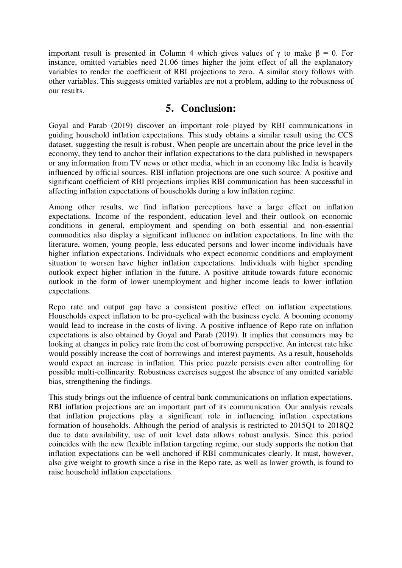important result is presented in Column 4 which gives values of  $\gamma$  to make  $\beta = 0$ . For instance, omitted variables need 21.06 times higher the joint effect of all the explanatory variables to render the coefficient of RBI projections to zero. A similar story follows with other variables. This suggests omitted variables are not a problem, adding to the robustness of our results.

## **5. Conclusion:**

Goyal and Parab (2019) discover an important role played by RBI communications in guiding household inflation expectations. This study obtains a similar result using the CCS dataset, suggesting the result is robust. When people are uncertain about the price level in the economy, they tend to anchor their inflation expectations to the data published in newspapers or any information from TV news or other media, which in an economy like India is heavily influenced by official sources. RBI inflation projections are one such source. A positive and significant coefficient of RBI projections implies RBI communication has been successful in affecting inflation expectations of households during a low inflation regime.

Among other results, we find inflation perceptions have a large effect on inflation expectations. Income of the respondent, education level and their outlook on economic conditions in general, employment and spending on both essential and non-essential commodities also display a significant influence on inflation expectations. In line with the literature, women, young people, less educated persons and lower income individuals have higher inflation expectations. Individuals who expect economic conditions and employment situation to worsen have higher inflation expectations. Individuals with higher spending outlook expect higher inflation in the future. A positive attitude towards future economic outlook in the form of lower unemployment and higher income leads to lower inflation expectations.

Repo rate and output gap have a consistent positive effect on inflation expectations. Households expect inflation to be pro-cyclical with the business cycle. A booming economy would lead to increase in the costs of living. A positive influence of Repo rate on inflation expectations is also obtained by Goyal and Parab (2019). It implies that consumers may be looking at changes in policy rate from the cost of borrowing perspective. An interest rate hike would possibly increase the cost of borrowings and interest payments. As a result, households would expect an increase in inflation. This price puzzle persists even after controlling for possible multi-collinearity. Robustness exercises suggest the absence of any omitted variable bias, strengthening the findings.

This study brings out the influence of central bank communications on inflation expectations. RBI inflation projections are an important part of its communication. Our analysis reveals that inflation projections play a significant role in influencing inflation expectations formation of households. Although the period of analysis is restricted to 2015Q1 to 2018Q2 due to data availability, use of unit level data allows robust analysis. Since this period coincides with the new flexible inflation targeting regime, our study supports the notion that inflation expectations can be well anchored if RBI communicates clearly. It must, however, also give weight to growth since a rise in the Repo rate, as well as lower growth, is found to raise household inflation expectations.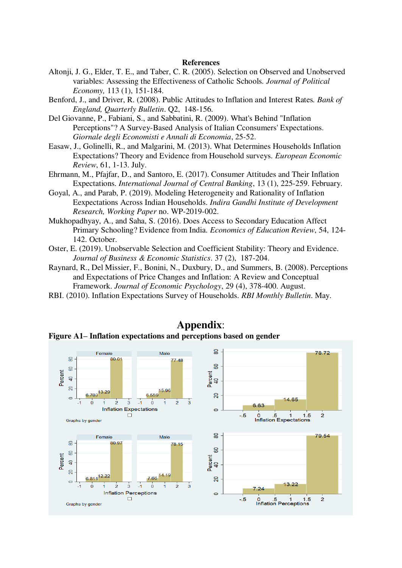#### **References**

- Altonii, J. G., Elder, T. E., and Taber, C. R. (2005). Selection on Observed and Unobserved variables: Assessing the Effectiveness of Catholic Schools. *Journal of Political Economy,* 113 (1), 151-184.
- Benford, J., and Driver, R. (2008). Public Attitudes to Inflation and Interest Rates*. Bank of England, Quarterly Bulletin*. Q2, 148-156.
- Del Giovanne, P., Fabiani, S., and Sabbatini, R. (2009). What's Behind "Inflation Perceptions"? A Survey-Based Analysis of Italian Cconsumers' Expectations. *Giornale degli Economisti e Annali di Economia*, 25-52.
- Easaw, J., Golinelli, R., and Malgarini, M. (2013). What Determines Households Inflation Expectations? Theory and Evidence from Household surveys. *European Economic Review*, 61, 1-13. July.
- Ehrmann, M., Pfajfar, D., and Santoro, E. (2017). Consumer Attitudes and Their Inflation Expectations. *International Journal of Central Banking*, 13 (1), 225-259. February.
- Goyal, A., and Parab, P. (2019). Modeling Heterogeneity and Rationality of Inflation Eexpectations Across Indian Households. *Indira Gandhi Institute of Development Research, Working Paper* no. WP-2019-002.
- Mukhopadhyay, A., and Saha, S. (2016). Does Access to Secondary Education Affect Primary Schooling? Evidence from India. *Economics of Education Review*, 54, 124- 142. October.
- Oster, E. (2019). Unobservable Selection and Coefficient Stability: Theory and Evidence. *Journal of Business & Economic Statistics*. 37 (2), 187-204.
- Raynard, R., Del Missier, F., Bonini, N., Duxbury, D., and Summers, B. (2008). Perceptions and Expectations of Price Changes and Inflation: A Review and Conceptual Framework. *Journal of Economic Psychology*, 29 (4), 378-400. August.
- RBI. (2010). Inflation Expectations Survey of Households. *RBI Monthly Bulletin*. May.



**Appendix**: **Figure A1– Inflation expectations and perceptions based on gender**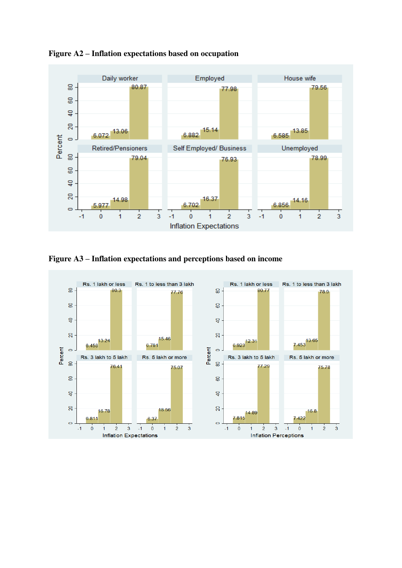

**Figure A2 – Inflation expectations based on occupation** 

**Figure A3 – Inflation expectations and perceptions based on income** 

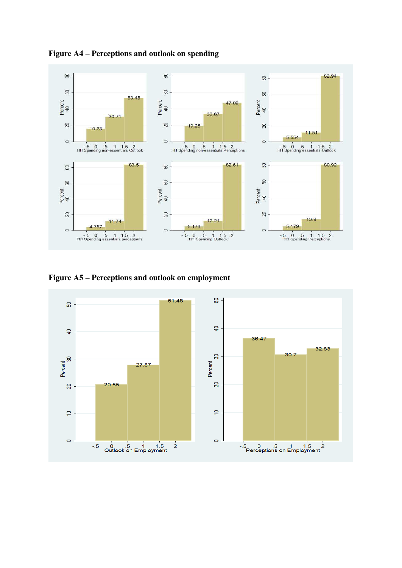

**Figure A4 – Perceptions and outlook on spending** 

**Figure A5 – Perceptions and outlook on employment** 

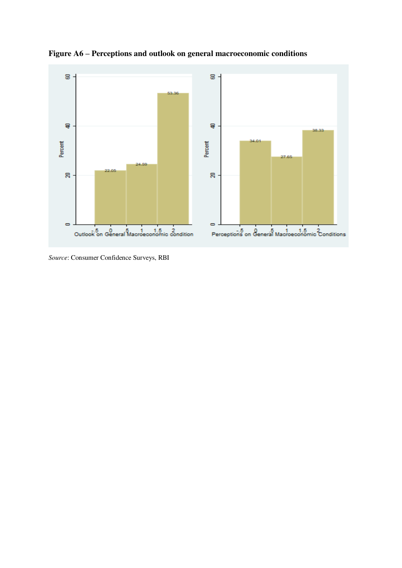![](_page_14_Figure_0.jpeg)

**Figure A6 – Perceptions and outlook on general macroeconomic conditions** 

*Source*: Consumer Confidence Surveys, RBI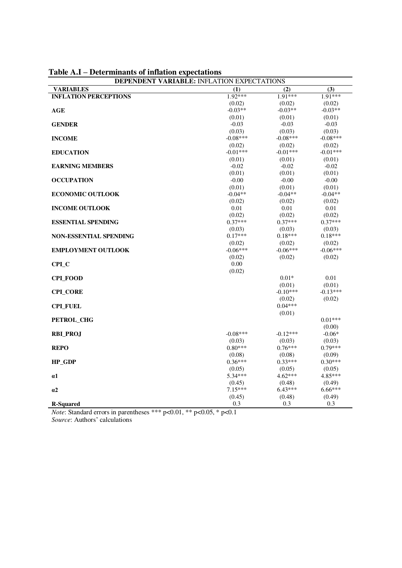| <b>DEPENDENT VARIABLE: INFLATION EXPECTATIONS</b> |            |            |            |  |
|---------------------------------------------------|------------|------------|------------|--|
| <b>VARIABLES</b>                                  | (1)        | (2)        | (3)        |  |
| <b>INFLATION PERCEPTIONS</b>                      | $1.92***$  | $1.91***$  | 1.91***    |  |
|                                                   | (0.02)     | (0.02)     | (0.02)     |  |
| AGE                                               | $-0.03**$  | $-0.03**$  | $-0.03**$  |  |
|                                                   | (0.01)     | (0.01)     | (0.01)     |  |
| <b>GENDER</b>                                     | $-0.03$    | $-0.03$    | $-0.03$    |  |
|                                                   | (0.03)     | (0.03)     | (0.03)     |  |
| <b>INCOME</b>                                     | $-0.08***$ | $-0.08***$ | $-0.08***$ |  |
|                                                   | (0.02)     | (0.02)     | (0.02)     |  |
| <b>EDUCATION</b>                                  | $-0.01***$ | $-0.01***$ | $-0.01***$ |  |
|                                                   | (0.01)     | (0.01)     | (0.01)     |  |
| <b>EARNING MEMBERS</b>                            | $-0.02$    | $-0.02$    | $-0.02$    |  |
|                                                   | (0.01)     | (0.01)     | (0.01)     |  |
| <b>OCCUPATION</b>                                 | $-0.00$    | $-0.00$    | $-0.00$    |  |
|                                                   | (0.01)     | (0.01)     | (0.01)     |  |
| <b>ECONOMIC OUTLOOK</b>                           | $-0.04**$  | $-0.04**$  | $-0.04**$  |  |
|                                                   | (0.02)     | (0.02)     | (0.02)     |  |
| <b>INCOME OUTLOOK</b>                             | $0.01\,$   | $0.01\,$   | $0.01\,$   |  |
|                                                   | (0.02)     | (0.02)     | (0.02)     |  |
| <b>ESSENTIAL SPENDING</b>                         | $0.37***$  | $0.37***$  | $0.37***$  |  |
|                                                   | (0.03)     | (0.03)     | (0.03)     |  |
| <b>NON-ESSENTIAL SPENDING</b>                     | $0.17***$  | $0.18***$  | $0.18***$  |  |
|                                                   |            |            |            |  |
|                                                   | (0.02)     | (0.02)     | (0.02)     |  |
| <b>EMPLOYMENT OUTLOOK</b>                         | $-0.06***$ | $-0.06***$ | $-0.06***$ |  |
|                                                   | (0.02)     | (0.02)     | (0.02)     |  |
| <b>CPL_C</b>                                      | $0.00\,$   |            |            |  |
|                                                   | (0.02)     |            |            |  |
| <b>CPI FOOD</b>                                   |            | $0.01*$    | 0.01       |  |
|                                                   |            | (0.01)     | (0.01)     |  |
| <b>CPI_CORE</b>                                   |            | $-0.10***$ | $-0.13***$ |  |
|                                                   |            | (0.02)     | (0.02)     |  |
| <b>CPI_FUEL</b>                                   |            | $0.04***$  |            |  |
|                                                   |            | (0.01)     |            |  |
| PETROL_CHG                                        |            |            | $0.01***$  |  |
|                                                   |            |            | (0.00)     |  |
| <b>RBI_PROJ</b>                                   | $-0.08***$ | $-0.12***$ | $-0.06*$   |  |
|                                                   | (0.03)     | (0.03)     | (0.03)     |  |
| <b>REPO</b>                                       | $0.80***$  | $0.76***$  | $0.79***$  |  |
|                                                   | (0.08)     | (0.08)     | (0.09)     |  |
| HP_GDP                                            | $0.36***$  | $0.33***$  | $0.30***$  |  |
|                                                   | (0.05)     | (0.05)     | (0.05)     |  |
| α1                                                | 5.34***    | $4.62***$  | 4.85***    |  |
|                                                   | (0.45)     | (0.48)     | (0.49)     |  |
| a2                                                | $7.15***$  | $6.43***$  | 6.66***    |  |
|                                                   | (0.45)     | (0.48)     | (0.49)     |  |
| <b>R-Squared</b>                                  | 0.3        | 0.3        | 0.3        |  |

**Table A.I – Determinants of inflation expectations** 

*Note*: Standard errors in parentheses \*\*\* p<0.01, \*\* p<0.05, \* p<0.1

*Source*: Authors' calculations